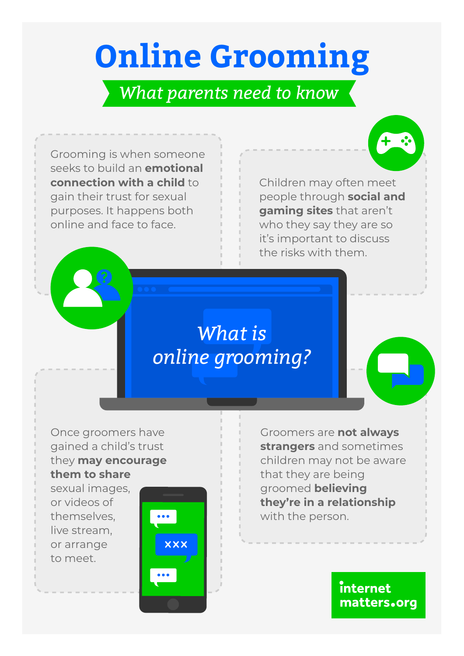# **Online Grooming**

#### *What parents need to know*

Grooming is when someone seeks to build an **emotional connection with a child** to gain their trust for sexual purposes. It happens both online and face to face.

Children may often meet people through **social and gaming sites** that aren't who they say they are so it's important to discuss the risks with them.

# *What is online grooming?*

Once groomers have gained a child's trust they **may encourage them to share**

sexual images, or videos of themselves, live stream, or arrange to meet.



Groomers are **not always strangers** and sometimes children may not be aware that they are being groomed **believing they're in a relationship** with the person.

> internet matters.org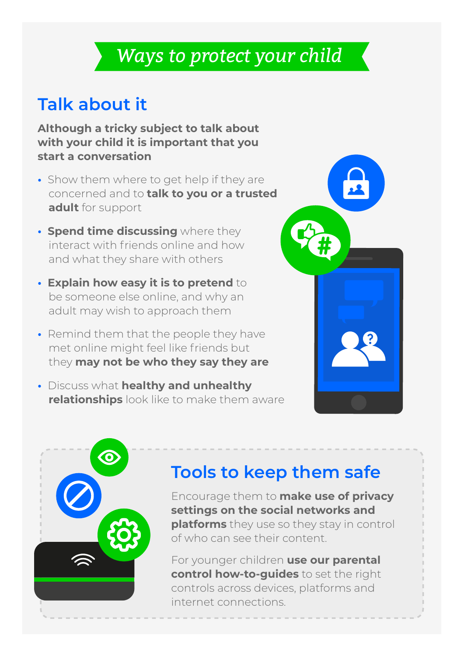## *Ways to protect your child*

#### **Talk about it**

**Although a tricky subject to talk about with your child it is important that you start a conversation**

- Show them where to get help if they are concerned and to **talk to you or a trusted adult** for support
- **Spend time discussing** where they interact with friends online and how and what they share with others
- **Explain how easy it is to pretend** to be someone else online, and why an adult may wish to approach them
- Remind them that the people they have met online might feel like friends but they **may not be who they say they are**
- Discuss what **healthy and unhealthy relationships** look like to make them aware





## **Tools to keep them safe**

Encourage them to **make use of privacy settings on the social networks and platforms** they use so they stay in control of who can see their content.

For younger children **use our parental control how-to-guides** to set the right controls across devices, platforms and internet connections.